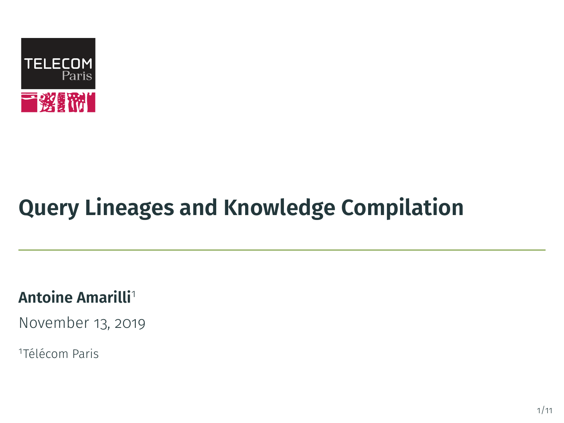

# **Query Lineages and Knowledge Compilation**

#### **Antoine Amarilli**<sup>1</sup>

November 13, 2019

<sup>1</sup>Télécom Paris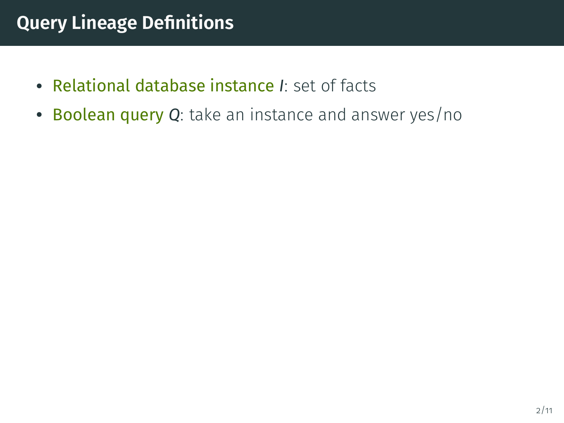- Relational database instance *I*: set of facts
- Boolean query *Q*: take an instance and answer yes/no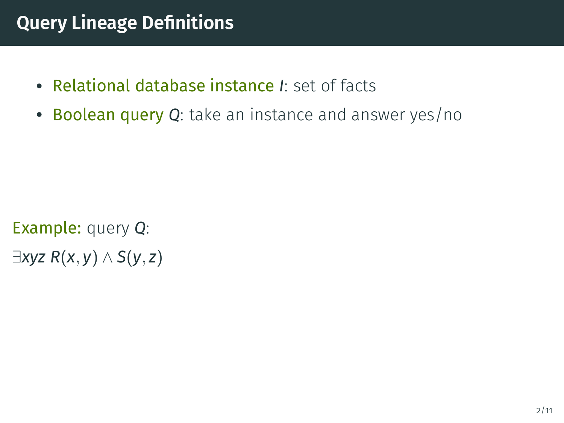- Relational database instance *I*: set of facts
- Boolean query *Q*: take an instance and answer yes/no

Example: query *Q*: ∃*xyz R*(*x*, *y*) ∧ *S*(*y*, *z*)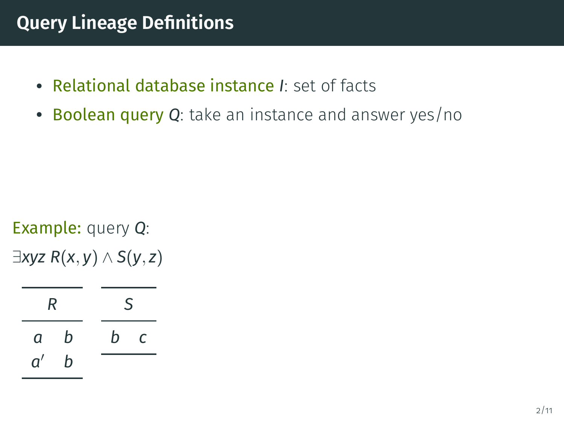- Relational database instance *I*: set of facts
- Boolean query *Q*: take an instance and answer yes/no

Example: query *Q*: ∃*xyz R*(*x*, *y*) ∧ *S*(*y*, *z*)

| R            |   | S |               |  |
|--------------|---|---|---------------|--|
| a            | h | b | $\mathcal{C}$ |  |
| $a^{\prime}$ | h |   |               |  |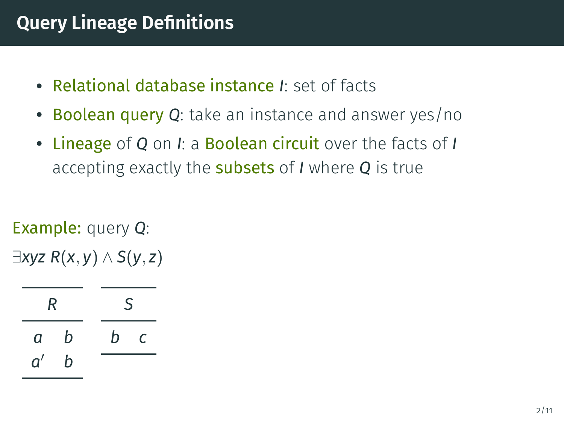- Relational database instance *I*: set of facts
- Boolean query *Q*: take an instance and answer yes/no
- Lineage of *Q* on *I*: a Boolean circuit over the facts of *I* accepting exactly the subsets of *I* where *Q* is true

Example: query *Q*: ∃*xyz R*(*x*, *y*) ∧ *S*(*y*, *z*)

| R  |   | S |               |
|----|---|---|---------------|
| a  | b | b | $\mathcal{C}$ |
| a' | b |   |               |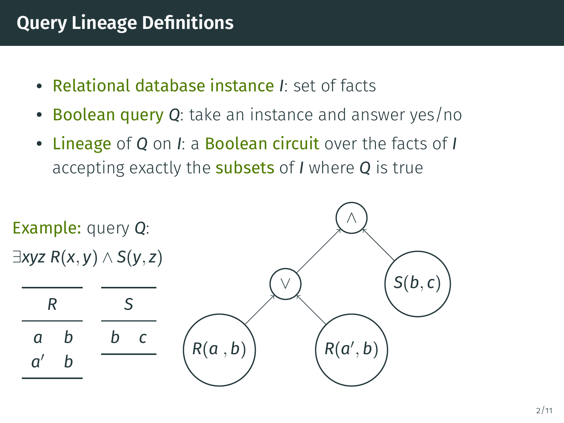- Relational database instance *I*: set of facts
- Boolean query *Q*: take an instance and answer yes/no
- Lineage of *Q* on *I*: a Boolean circuit over the facts of *I* accepting exactly the subsets of *I* where *Q* is true

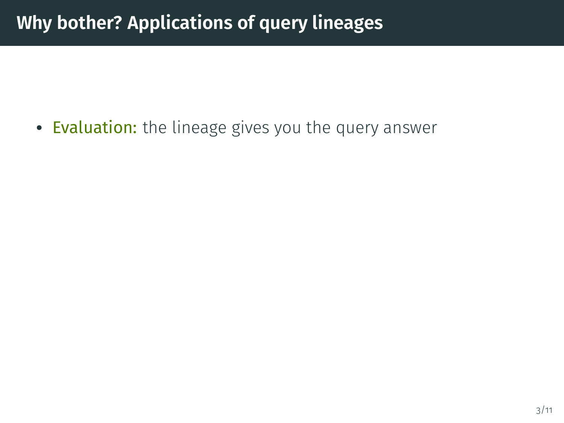• Evaluation: the lineage gives you the query answer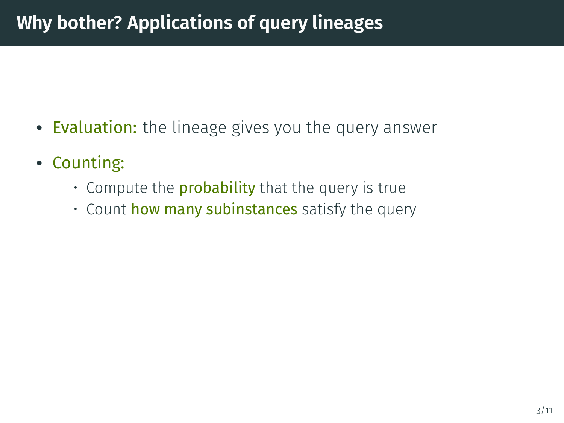- Evaluation: the lineage gives you the query answer
- Counting:
	- $\cdot$  Compute the **probability** that the query is true
	- Count how many subinstances satisfy the query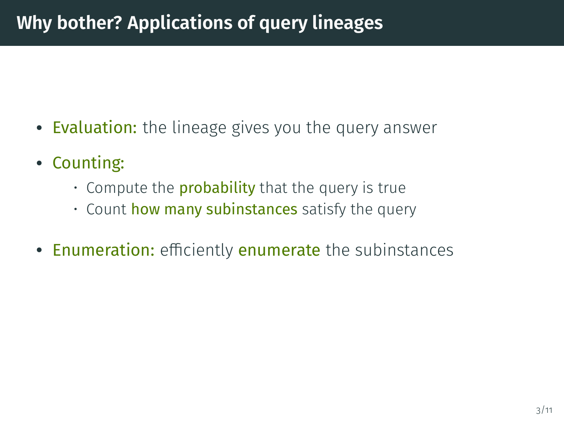- Evaluation: the lineage gives you the query answer
- Counting:
	- $\cdot$  Compute the **probability** that the query is true
	- Count how many subinstances satisfy the query
- Enumeration: efficiently enumerate the subinstances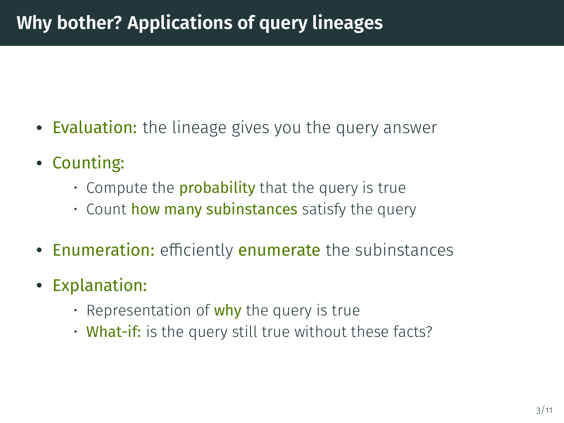- Evaluation: the lineage gives you the query answer
- Counting:
	- $\cdot$  Compute the **probability** that the query is true
	- Count how many subinstances satisfy the query
- Enumeration: efficiently enumerate the subinstances
- Explanation:
	- Representation of  $why$  the query is true
	- What-if: is the query still true without these facts?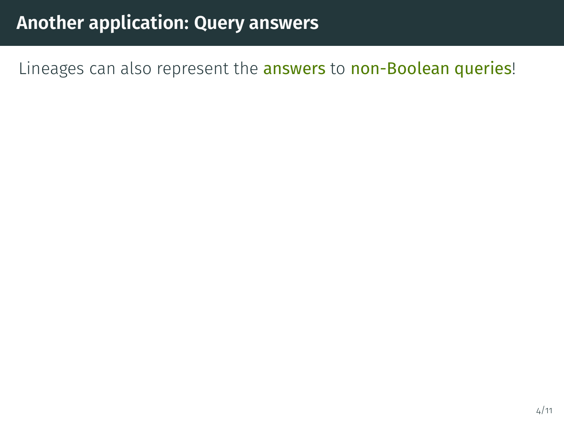# **Another application: Query answers**

Lineages can also represent the answers to non-Boolean queries!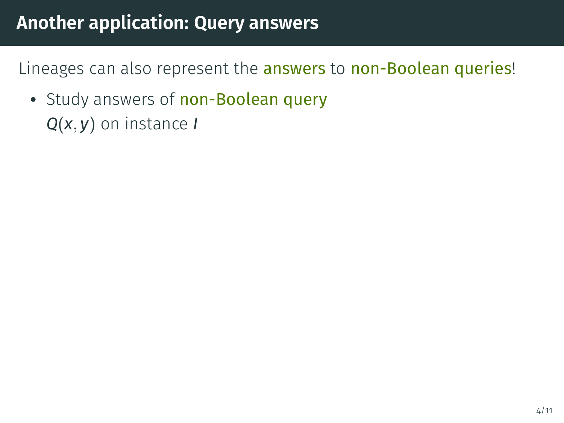### **Another application: Query answers**

Lineages can also represent the **answers** to non-Boolean queries!

• Study answers of non-Boolean query *Q*(*x*, *y*) on instance *I*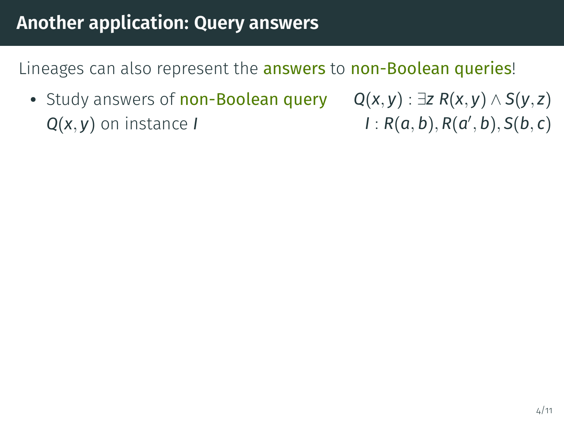• Study answers of non-Boolean query *Q*(*x*, *y*) on instance *I*

*Q*(*x*, *y*) : ∃*z R*(*x*, *y*) ∧ *S*(*y*, *z*)  $I: R(a, b), R(a', b), S(b, c)$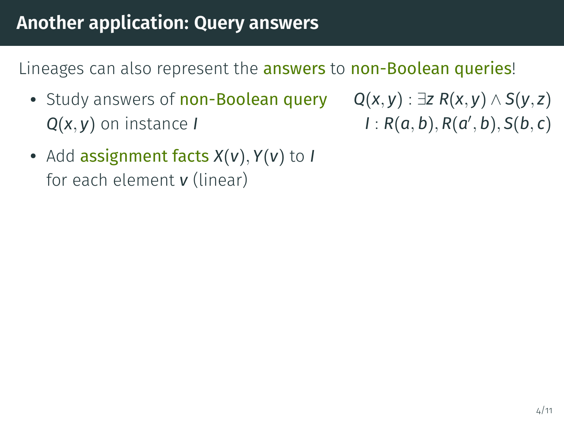• Study answers of non-Boolean query *Q*(*x*, *y*) on instance *I*

*Q*(*x*, *y*) : ∃*z R*(*x*, *y*) ∧ *S*(*y*, *z*)  $I: R(a, b), R(a', b), S(b, c)$ 

• Add assignment facts *X*(*v*), *Y*(*v*) to *I* for each element *v* (linear)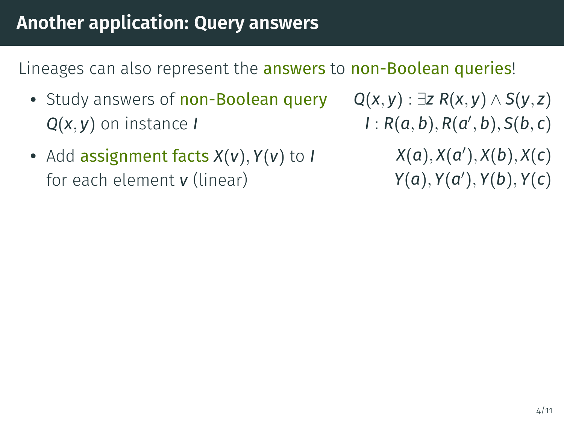- Study answers of non-Boolean query *Q*(*x*, *y*) on instance *I*
- Add assignment facts *X*(*v*), *Y*(*v*) to *I* for each element *v* (linear)

*Q*(*x*, *y*) : ∃*z R*(*x*, *y*) ∧ *S*(*y*, *z*)  $I: R(a, b), R(a', b), S(b, c)$ 

> *X*(*a*), *X*(*a* 0 ), *X*(*b*), *X*(*c*) *Y*(*a*), *Y*(*a* 0 ), *Y*(*b*), *Y*(*c*)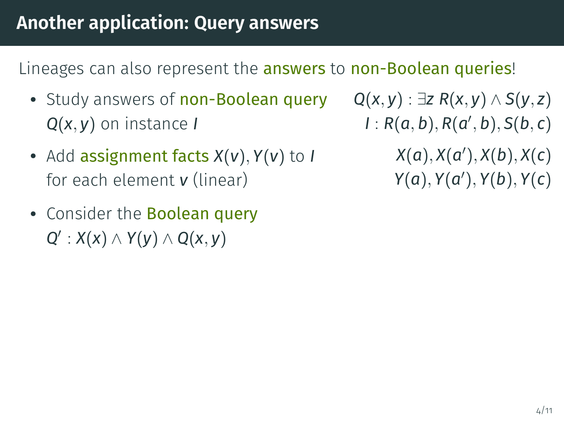- Study answers of non-Boolean query *Q*(*x*, *y*) on instance *I*
- Add assignment facts *X*(*v*), *Y*(*v*) to *I* for each element *v* (linear)
- Consider the Boolean query *Q* 0 : *X*(*x*) ∧ *Y*(*y*) ∧ *Q*(*x*, *y*)
- *Q*(*x*, *y*) : ∃*z R*(*x*, *y*) ∧ *S*(*y*, *z*)  $I: R(a, b), R(a', b), S(b, c)$ 
	- *X*(*a*), *X*(*a* 0 ), *X*(*b*), *X*(*c*) *Y*(*a*), *Y*(*a* 0 ), *Y*(*b*), *Y*(*c*)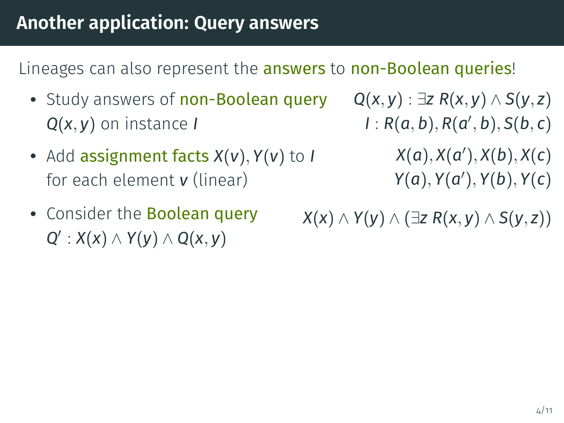- Study answers of non-Boolean query *Q*(*x*, *y*) on instance *I*
- Add assignment facts *X*(*v*), *Y*(*v*) to *I* for each element *v* (linear)
- Consider the Boolean query *Q* 0 : *X*(*x*) ∧ *Y*(*y*) ∧ *Q*(*x*, *y*)

*Q*(*x*, *y*) : ∃*z R*(*x*, *y*) ∧ *S*(*y*, *z*)  $I: R(a, b), R(a', b), S(b, c)$ 

> *X*(*a*), *X*(*a* 0 ), *X*(*b*), *X*(*c*) *Y*(*a*), *Y*(*a* 0 ), *Y*(*b*), *Y*(*c*)

*X*(*x*) ∧ *Y*(*y*) ∧ (∃*z R*(*x*, *y*) ∧ *S*(*y*, *z*))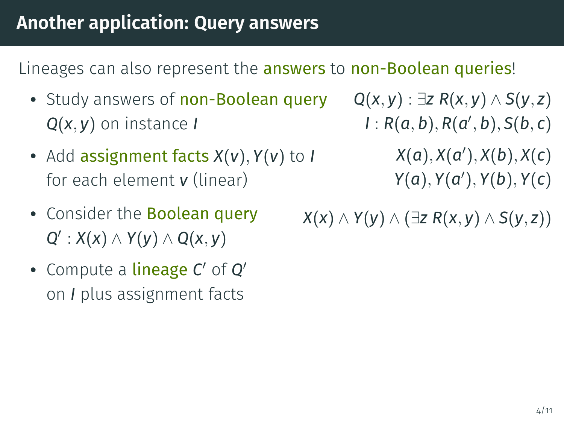- Study answers of non-Boolean query *Q*(*x*, *y*) on instance *I*
- Add assignment facts *X*(*v*), *Y*(*v*) to *I* for each element *v* (linear)
- Consider the Boolean query *Q* 0 : *X*(*x*) ∧ *Y*(*y*) ∧ *Q*(*x*, *y*)
- Compute a **lineage C'** of Q' on *I* plus assignment facts

*Q*(*x*, *y*) : ∃*z R*(*x*, *y*) ∧ *S*(*y*, *z*)  $I: R(a, b), R(a', b), S(b, c)$ 

> *X*(*a*), *X*(*a* 0 ), *X*(*b*), *X*(*c*) *Y*(*a*), *Y*(*a* 0 ), *Y*(*b*), *Y*(*c*)

*X*(*x*) ∧ *Y*(*y*) ∧ (∃*z R*(*x*, *y*) ∧ *S*(*y*, *z*))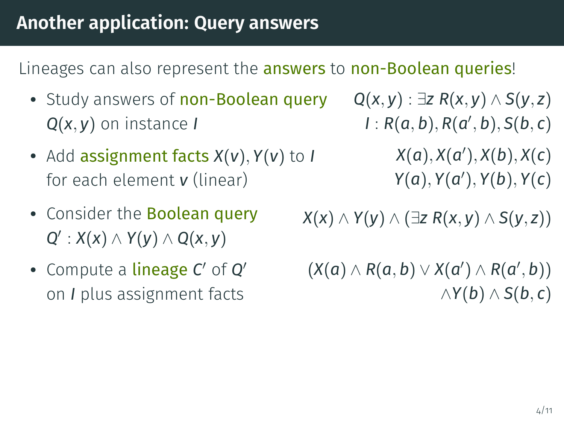- Study answers of non-Boolean query *Q*(*x*, *y*) on instance *I*
- Add assignment facts *X*(*v*), *Y*(*v*) to *I* for each element *v* (linear)
- Consider the Boolean query *Q* 0 : *X*(*x*) ∧ *Y*(*y*) ∧ *Q*(*x*, *y*)
- Compute a **lineage C'** of Q' on *I* plus assignment facts

*Q*(*x*, *y*) : ∃*z R*(*x*, *y*) ∧ *S*(*y*, *z*)  $I: R(a, b), R(a', b), S(b, c)$ 

> *X*(*a*), *X*(*a* 0 ), *X*(*b*), *X*(*c*) *Y*(*a*), *Y*(*a* 0 ), *Y*(*b*), *Y*(*c*)

*X*(*x*) ∧ *Y*(*y*) ∧ (∃*z R*(*x*, *y*) ∧ *S*(*y*, *z*))

 $(X(a) \wedge R(a, b) \vee X(a') \wedge R(a', b))$ ∧*Y*(*b*) ∧ *S*(*b*, *c*)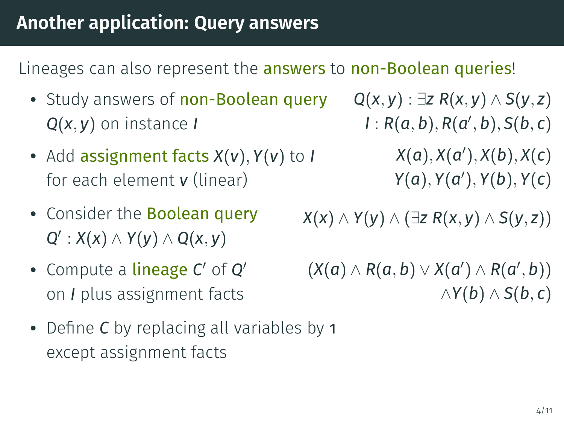- Study answers of non-Boolean query *Q*(*x*, *y*) on instance *I*
- Add assignment facts *X*(*v*), *Y*(*v*) to *I* for each element *v* (linear)
- Consider the Boolean query *Q* 0 : *X*(*x*) ∧ *Y*(*y*) ∧ *Q*(*x*, *y*)
- Compute a **lineage C'** of Q' on *I* plus assignment facts
- Define *C* by replacing all variables by 1 except assignment facts

*Q*(*x*, *y*) : ∃*z R*(*x*, *y*) ∧ *S*(*y*, *z*)  $I: R(a, b), R(a', b), S(b, c)$ 

> *X*(*a*), *X*(*a* 0 ), *X*(*b*), *X*(*c*) *Y*(*a*), *Y*(*a* 0 ), *Y*(*b*), *Y*(*c*)

*X*(*x*) ∧ *Y*(*y*) ∧ (∃*z R*(*x*, *y*) ∧ *S*(*y*, *z*))

 $(X(a) \wedge R(a, b) \vee X(a') \wedge R(a', b))$ ∧*Y*(*b*) ∧ *S*(*b*, *c*)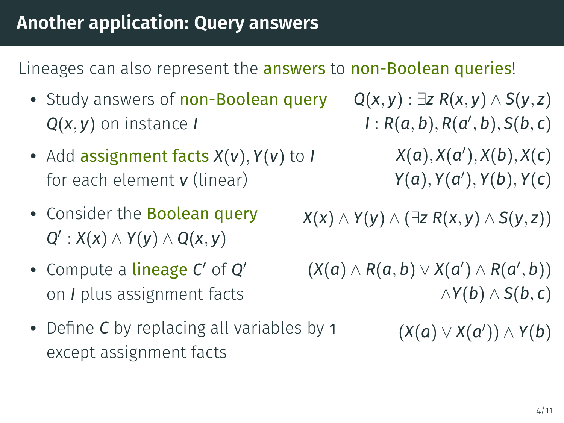- Study answers of non-Boolean query *Q*(*x*, *y*) on instance *I*
- Add assignment facts *X*(*v*), *Y*(*v*) to *I* for each element *v* (linear)
- Consider the Boolean query *Q* 0 : *X*(*x*) ∧ *Y*(*y*) ∧ *Q*(*x*, *y*)
- Compute a **lineage C'** of Q' on *I* plus assignment facts
- Define *C* by replacing all variables by 1 except assignment facts

*Q*(*x*, *y*) : ∃*z R*(*x*, *y*) ∧ *S*(*y*, *z*)  $I: R(a, b), R(a', b), S(b, c)$ 

> *X*(*a*), *X*(*a* 0 ), *X*(*b*), *X*(*c*) *Y*(*a*), *Y*(*a* 0 ), *Y*(*b*), *Y*(*c*)

*X*(*x*) ∧ *Y*(*y*) ∧ (∃*z R*(*x*, *y*) ∧ *S*(*y*, *z*))

 $(X(a) \wedge R(a, b) \vee X(a') \wedge R(a', b))$ ∧*Y*(*b*) ∧ *S*(*b*, *c*)

 $(X(a) \vee X(a')) \wedge Y(b)$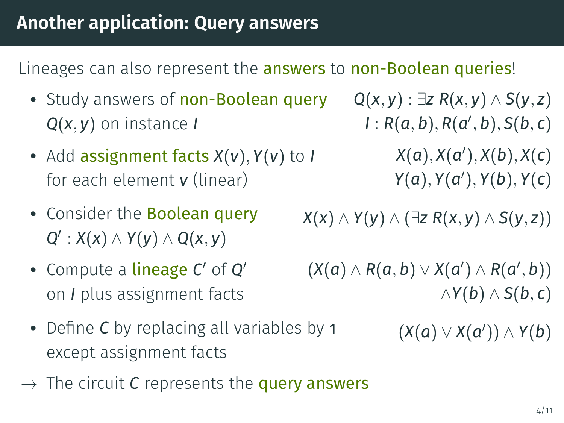- Study answers of non-Boolean query *Q*(*x*, *y*) on instance *I*
- Add assignment facts *X*(*v*), *Y*(*v*) to *I* for each element *v* (linear)
- Consider the Boolean query *Q* 0 : *X*(*x*) ∧ *Y*(*y*) ∧ *Q*(*x*, *y*)
- Compute a **lineage C'** of Q' on *I* plus assignment facts
- Define *C* by replacing all variables by 1 except assignment facts
- $\rightarrow$  The circuit C represents the **query answers**

*Q*(*x*, *y*) : ∃*z R*(*x*, *y*) ∧ *S*(*y*, *z*)  $I: R(a, b), R(a', b), S(b, c)$ 

> *X*(*a*), *X*(*a* 0 ), *X*(*b*), *X*(*c*) *Y*(*a*), *Y*(*a* 0 ), *Y*(*b*), *Y*(*c*)

*X*(*x*) ∧ *Y*(*y*) ∧ (∃*z R*(*x*, *y*) ∧ *S*(*y*, *z*))

 $(X(a) \wedge R(a, b) \vee X(a') \wedge R(a', b))$ ∧*Y*(*b*) ∧ *S*(*b*, *c*)

 $(X(a) \vee X(a')) \wedge Y(b)$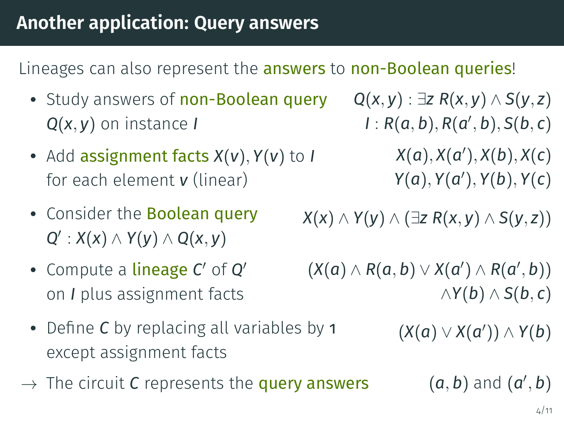- Study answers of non-Boolean query *Q*(*x*, *y*) on instance *I*
- Add assignment facts *X*(*v*), *Y*(*v*) to *I* for each element *v* (linear)
- Consider the Boolean query *Q* 0 : *X*(*x*) ∧ *Y*(*y*) ∧ *Q*(*x*, *y*)
- Compute a **lineage C'** of Q' on *I* plus assignment facts
- Define *C* by replacing all variables by 1 except assignment facts
- $\rightarrow$  The circuit C represents the **query answers**

*Q*(*x*, *y*) : ∃*z R*(*x*, *y*) ∧ *S*(*y*, *z*)  $I: R(a, b), R(a', b), S(b, c)$ 

> *X*(*a*), *X*(*a* 0 ), *X*(*b*), *X*(*c*) *Y*(*a*), *Y*(*a* 0 ), *Y*(*b*), *Y*(*c*)

*X*(*x*) ∧ *Y*(*y*) ∧ (∃*z R*(*x*, *y*) ∧ *S*(*y*, *z*))

 $(X(a) \wedge R(a, b) \vee X(a') \wedge R(a', b))$ ∧*Y*(*b*) ∧ *S*(*b*, *c*)

 $(X(a) \vee X(a')) \wedge Y(b)$ 

 $', b)$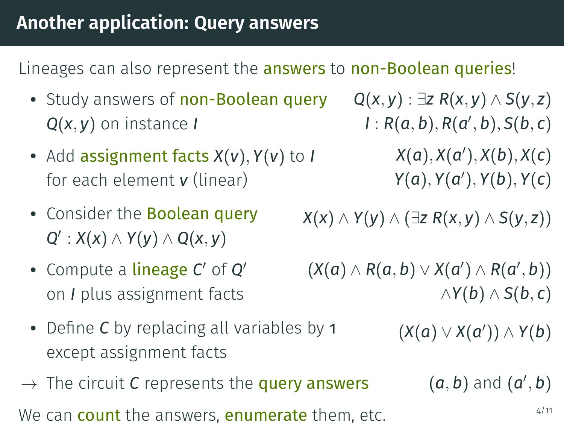- Study answers of non-Boolean query *Q*(*x*, *y*) on instance *I*
- Add assignment facts *X*(*v*), *Y*(*v*) to *I* for each element *v* (linear)
- Consider the Boolean query *Q* 0 : *X*(*x*) ∧ *Y*(*y*) ∧ *Q*(*x*, *y*)
- Compute a **lineage C'** of Q' on *I* plus assignment facts
- Define *C* by replacing all variables by 1 except assignment facts
- $\rightarrow$  The circuit C represents the **query answers** We can **count** the answers, **enumerate** them, etc.  $4/11$

*Q*(*x*, *y*) : ∃*z R*(*x*, *y*) ∧ *S*(*y*, *z*)  $I: R(a, b), R(a', b), S(b, c)$ 

> *X*(*a*), *X*(*a* 0 ), *X*(*b*), *X*(*c*) *Y*(*a*), *Y*(*a* 0 ), *Y*(*b*), *Y*(*c*)

*X*(*x*) ∧ *Y*(*y*) ∧ (∃*z R*(*x*, *y*) ∧ *S*(*y*, *z*))

 $(X(a) \wedge R(a, b) \vee X(a') \wedge R(a', b))$ ∧*Y*(*b*) ∧ *S*(*b*, *c*)

 $(X(a) \vee X(a')) \wedge Y(b)$ 

 $', b)$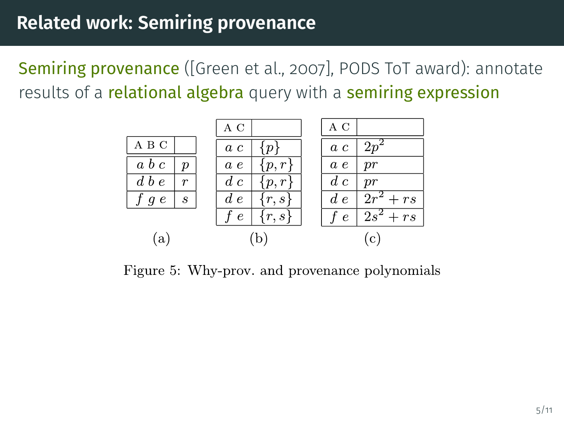Semiring provenance ([\[Green et al., 2007\]](#page-56-0), PODS ToT award): annotate results of a relational algebra query with a semiring expression



Figure 5: Why-prov. and provenance polynomials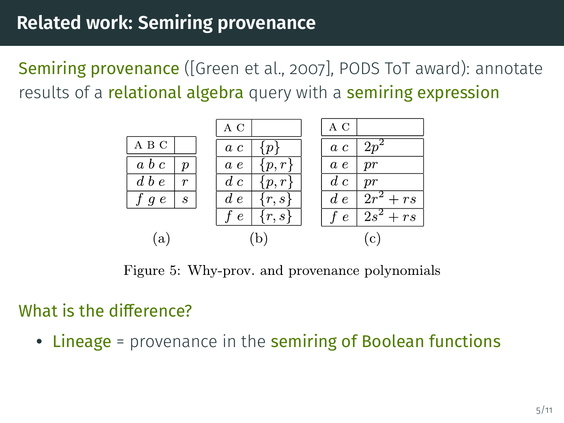Semiring provenance ([\[Green et al., 2007\]](#page-56-0), PODS ToT award): annotate results of a relational algebra query with a semiring expression



Figure 5: Why-prov. and provenance polynomials

### What is the difference?

• Lineage = provenance in the semiring of Boolean functions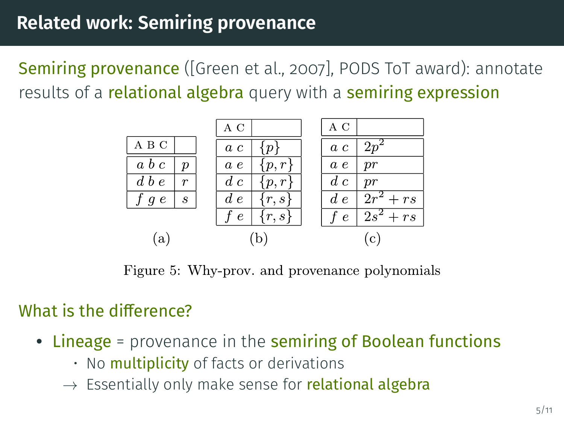Semiring provenance ([\[Green et al., 2007\]](#page-56-0), PODS ToT award): annotate results of a **relational algebra** query with a **semiring expression** 



Figure 5: Why-prov. and provenance polynomials

### What is the difference?

- Lineage = provenance in the semiring of Boolean functions
	- No **multiplicity** of facts or derivations
	- $\rightarrow$  Essentially only make sense for **relational algebra**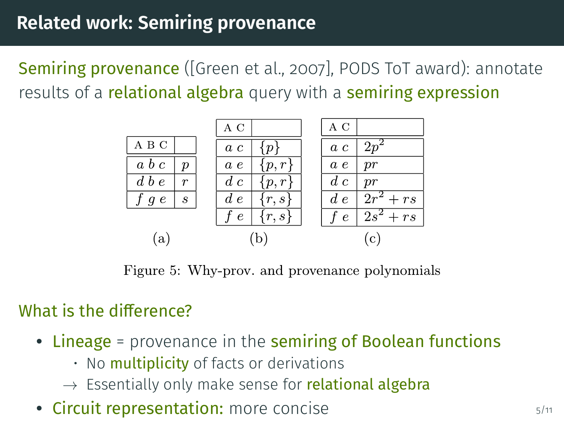Semiring provenance ([\[Green et al., 2007\]](#page-56-0), PODS ToT award): annotate results of a relational algebra query with a semiring expression



Figure 5: Why-prov. and provenance polynomials

### What is the difference?

- Lineage = provenance in the semiring of Boolean functions
	- No **multiplicity** of facts or derivations
	- $\rightarrow$  Essentially only make sense for **relational algebra**
- Circuit representation: more concise **Circuit representation:**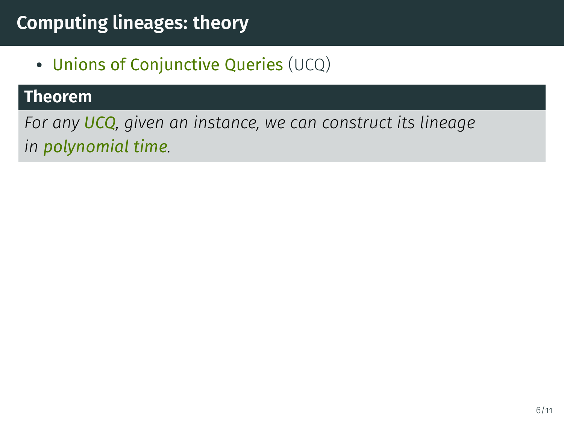• Unions of Conjunctive Queries (UCQ)

#### **Theorem**

*For any UCQ, given an instance, we can construct its lineage in polynomial time.*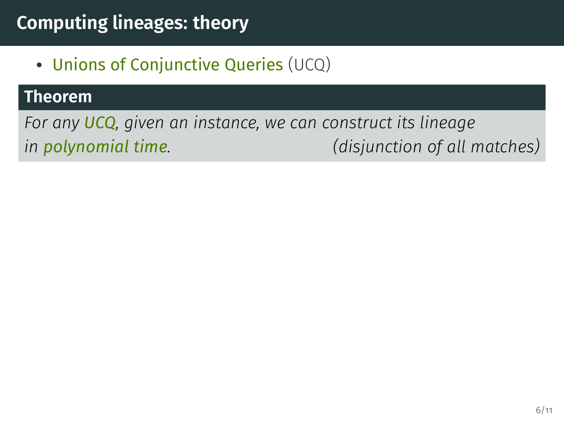• Unions of Conjunctive Queries (UCQ)

#### **Theorem**

*For any UCQ, given an instance, we can construct its lineage in polynomial time. (disjunction of all matches)*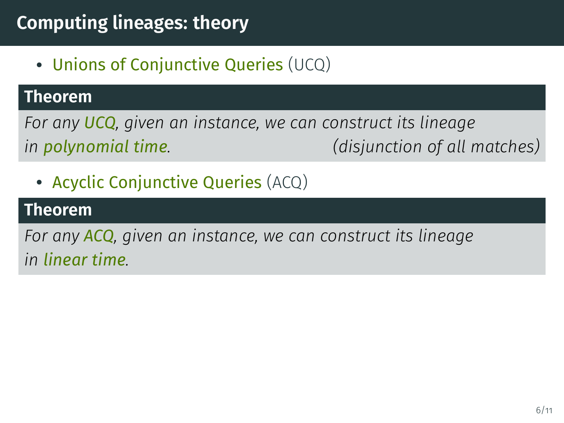• Unions of Conjunctive Queries (UCQ)

#### **Theorem**

*For any UCQ, given an instance, we can construct its lineage in polynomial time. (disjunction of all matches)*

• Acyclic Conjunctive Queries (ACQ)

#### **Theorem**

*For any ACQ, given an instance, we can construct its lineage in linear time.*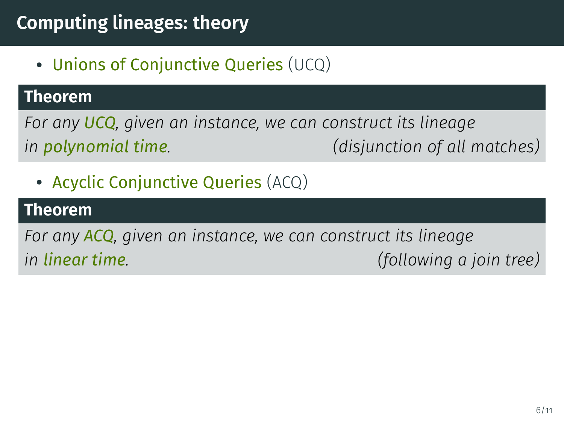• Unions of Conjunctive Queries (UCQ)

#### **Theorem**

*For any UCQ, given an instance, we can construct its lineage in polynomial time. (disjunction of all matches)*

• Acyclic Conjunctive Queries (ACQ)

#### **Theorem**

*For any ACQ, given an instance, we can construct its lineage in linear time. (following a join tree)*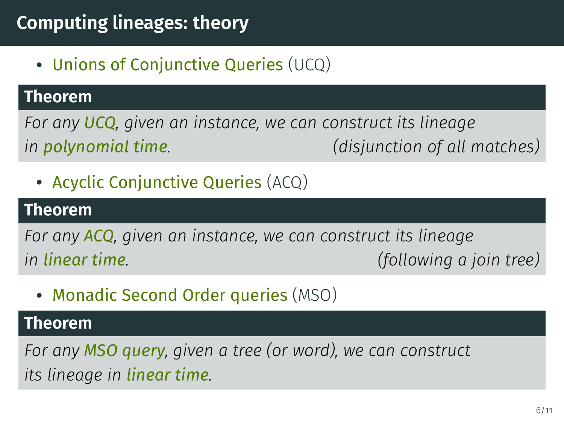• Unions of Conjunctive Queries (UCQ)

#### **Theorem**

*For any UCQ, given an instance, we can construct its lineage in polynomial time. (disjunction of all matches)*

• Acyclic Conjunctive Queries (ACQ)

#### **Theorem**

*For any ACQ, given an instance, we can construct its lineage in linear time. (following a join tree)*

• Monadic Second Order queries (MSO)

### **Theorem**

*For any MSO query, given a tree (or word), we can construct its lineage in linear time.*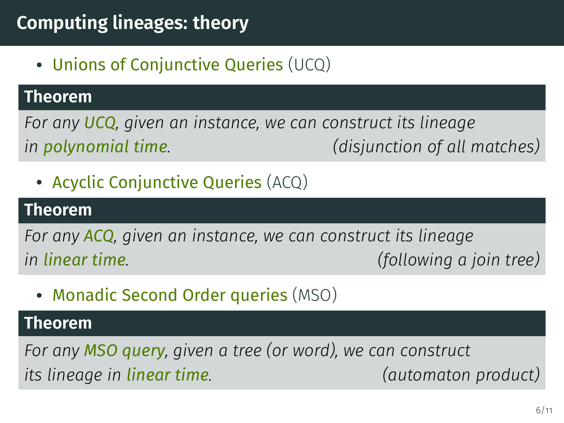• Unions of Conjunctive Queries (UCQ)

#### **Theorem**

*For any UCQ, given an instance, we can construct its lineage in polynomial time. (disjunction of all matches)*

• Acyclic Conjunctive Queries (ACQ)

#### **Theorem**

*For any ACQ, given an instance, we can construct its lineage in linear time. (following a join tree)*

• Monadic Second Order queries (MSO)

#### **Theorem**

*For any MSO query, given a tree (or word), we can construct its lineage in linear time. (automaton product)*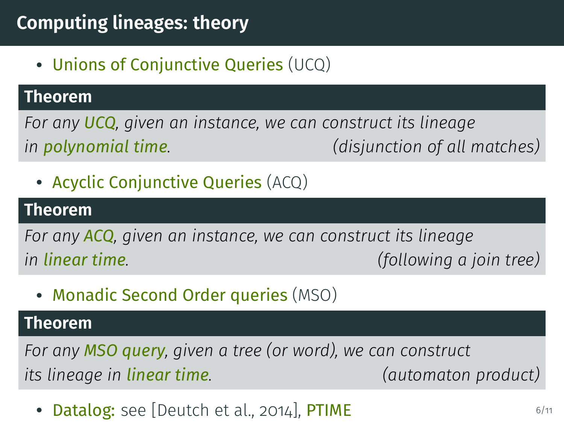• Unions of Conjunctive Queries (UCQ)

#### **Theorem**

*For any UCQ, given an instance, we can construct its lineage in polynomial time. (disjunction of all matches)*

• Acyclic Conjunctive Queries (ACQ)

#### **Theorem**

*For any ACQ, given an instance, we can construct its lineage in linear time. (following a join tree)*

• Monadic Second Order queries (MSO)

#### **Theorem**

*For any MSO query, given a tree (or word), we can construct its lineage in linear time. (automaton product)*

• **Datalog:** see [\[Deutch et al., 2014\]](#page-56-1), **PTIME** 6/11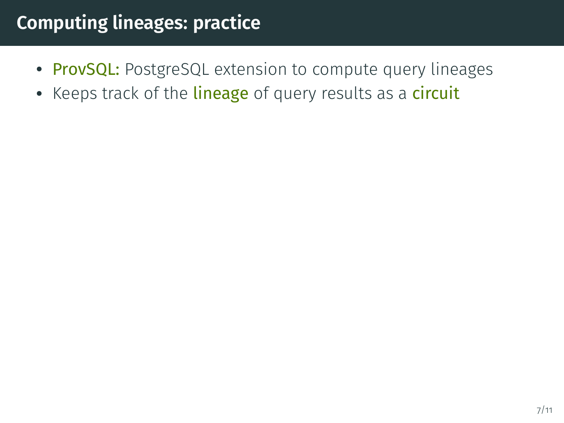# **Computing lineages: practice**

- **ProvSQL:** PostgreSQL extension to compute query lineages
- Keeps track of the lineage of query results as a circuit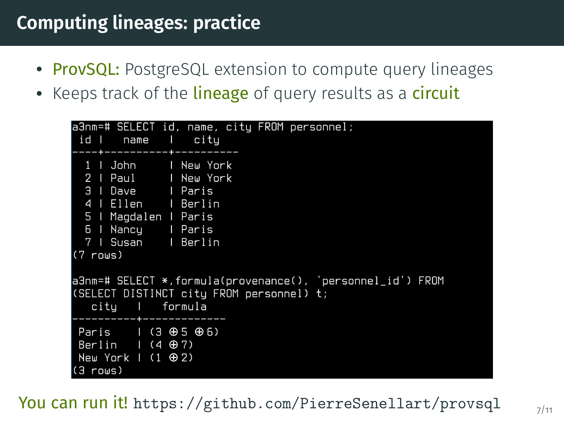# **Computing lineages: practice**

- **ProvSQL:** PostgreSQL extension to compute query lineages
- Keeps track of the lineage of query results as a circuit

```
a3nm=# SELECT id, name, city FROM personnel;
                     citu
 id lname
  1 | John | New York
  2 | Paul | New York
 3 | Dave | Paris<br>4 | Ellen | Paris<br>4 | Ellen | Berlin
  5 | Magdalen | Paris
  6 | Nancy | Paris
  7 | Susan | Berlin
(7 \text{ Thus})a3nm=# SELECT *, formula(provenance(), 'personnel_id') FROM
(SELECT DISTINCT city FROM personnel) t;
   citu I formula
 Paris (3 \oplus 5 \oplus 6)Berlin (4 \oplus 7)New York (1 \oplus 2)(3 \text{rows})
```
You can run it! <https://github.com/PierreSenellart/provsql>  $_{7/11}$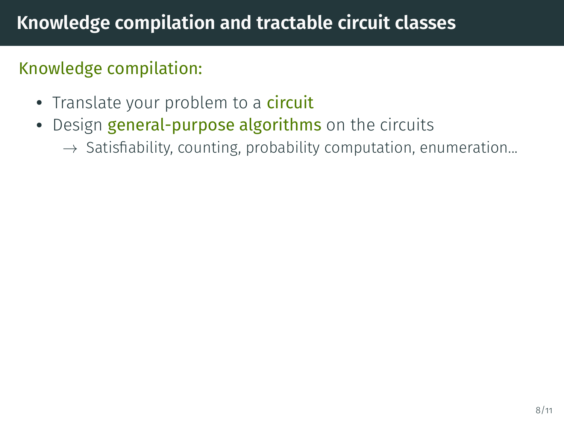- Translate your problem to a **circuit**
- Design **general-purpose algorithms** on the circuits
	- $\rightarrow$  Satisfiability, counting, probability computation, enumeration...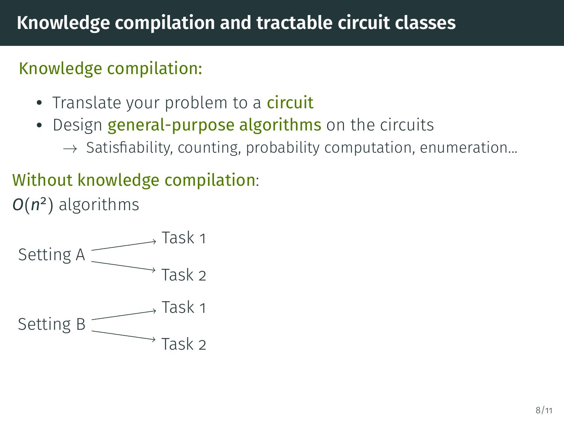- Translate your problem to a **circuit**
- Design **general-purpose algorithms** on the circuits
	- $\rightarrow$  Satisfiability, counting, probability computation, enumeration...

### Without knowledge compilation:

*O*(*n* 2 ) algorithms

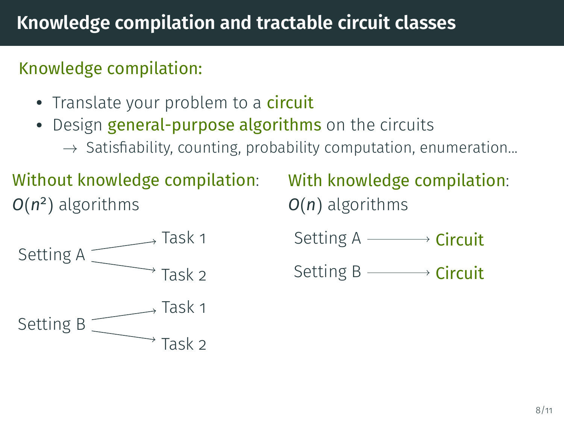- Translate your problem to a **circuit**
- Design **general-purpose algorithms** on the circuits
	- $\rightarrow$  Satisfiability, counting, probability computation, enumeration...



Without knowledge compilation:

With knowledge compilation: *O*(*n*) algorithms Setting A  $\longrightarrow$  Circuit Setting  $B \longrightarrow$  Circuit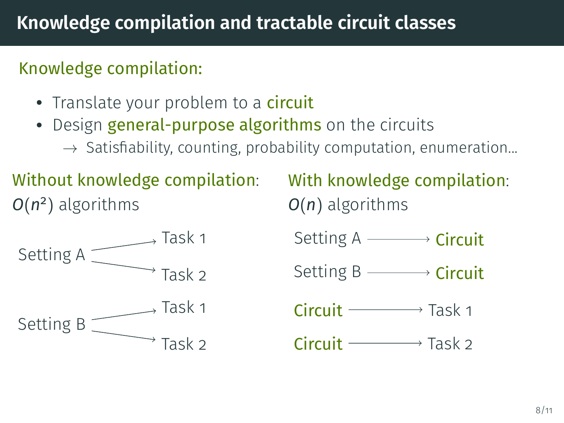- Translate your problem to a **circuit**
- Design **general-purpose algorithms** on the circuits
	- $\rightarrow$  Satisfiability, counting, probability computation, enumeration...



Without knowledge compilation:

With knowledge compilation: *O*(*n*) algorithms

Setting A  $\longrightarrow$  Circuit

Setting  $B \longrightarrow$  Circuit

Circuit Task 1

 $Circuit \longrightarrow Task 2$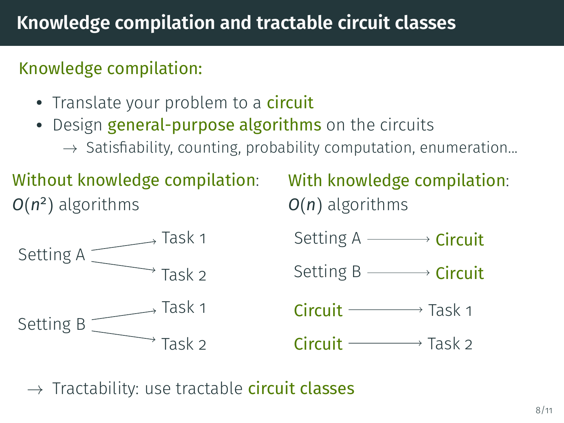- Translate your problem to a **circuit**
- Design **general-purpose algorithms** on the circuits
	- $\rightarrow$  Satisfiability, counting, probability computation, enumeration...



Without knowledge compilation:

With knowledge compilation: *O*(*n*) algorithms

Setting A  $\longrightarrow$  Circuit

Setting  $B \longrightarrow$  Circuit

Circuit Task 1

Circuit  $\longrightarrow$  Task 2

 $\rightarrow$  Tractability: use tractable **circuit classes**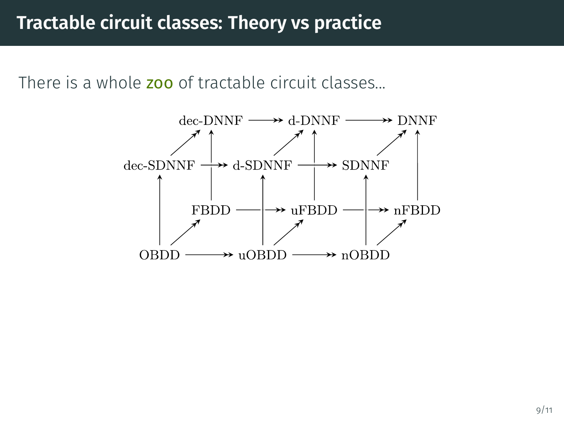There is a whole zoo of tractable circuit classes...

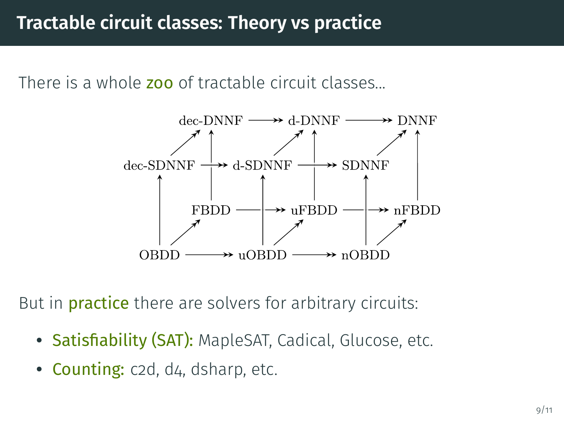There is a whole zoo of tractable circuit classes...



But in **practice** there are solvers for arbitrary circuits:

- Satisfiability (SAT): MapleSAT, Cadical, Glucose, etc.
- Counting: c2d, d4, dsharp, etc.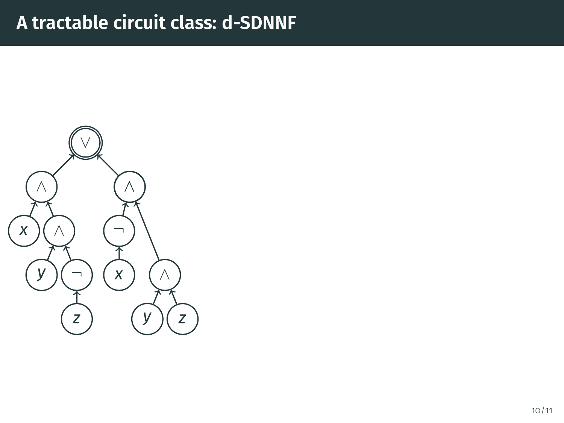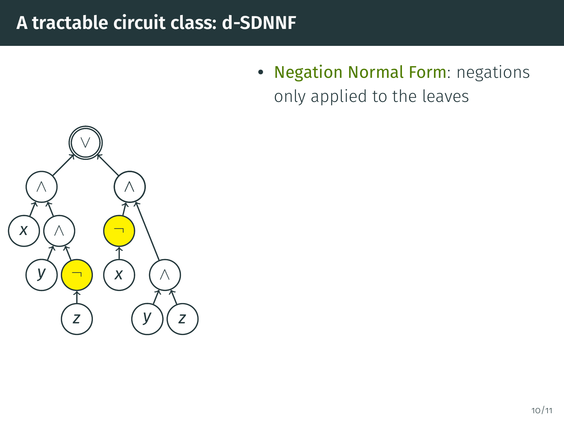• Negation Normal Form: negations only applied to the leaves

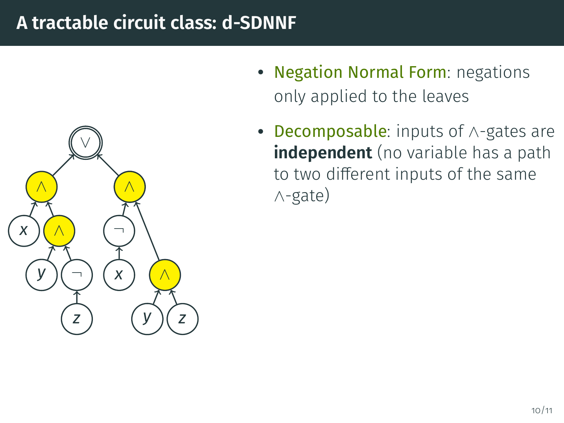

- Negation Normal Form: negations only applied to the leaves
- Decomposable: inputs of <sup>∧</sup>-gates are **independent** (no variable has a path to two different inputs of the same ∧-gate)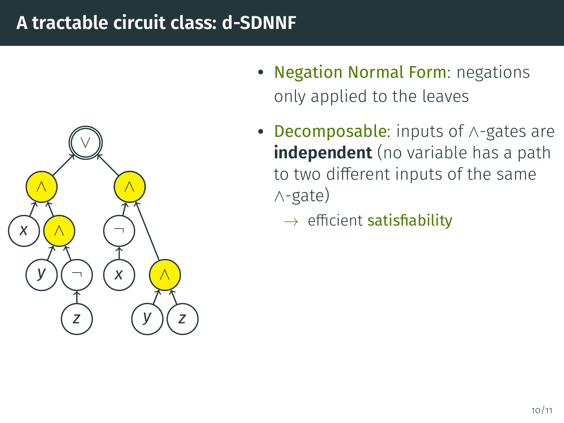

- Negation Normal Form: negations only applied to the leaves
- Decomposable: inputs of <sup>∧</sup>-gates are **independent** (no variable has a path to two different inputs of the same ∧-gate)
	- $\rightarrow$  efficient **satisfiability**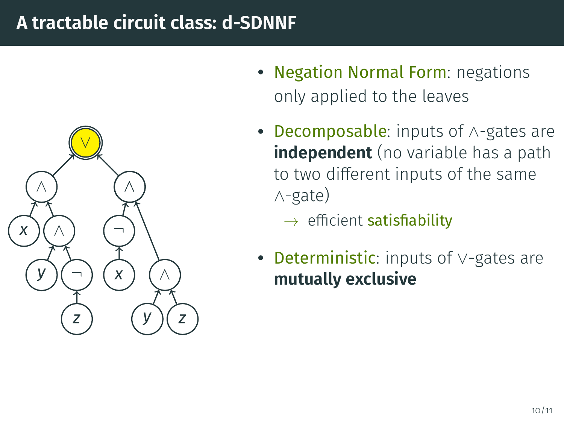

- Negation Normal Form: negations only applied to the leaves
- Decomposable: inputs of ∧-gates are **independent** (no variable has a path to two different inputs of the same ∧-gate)
	- $\rightarrow$  efficient **satisfiability**
- Deterministic: inputs of <sup>∨</sup>-gates are **mutually exclusive**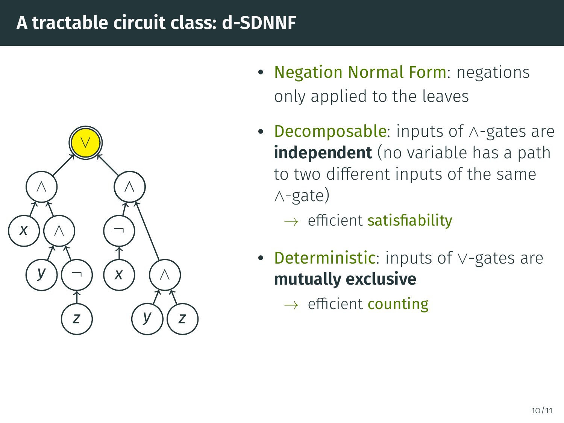

- Negation Normal Form: negations only applied to the leaves
- Decomposable: inputs of ∧-gates are **independent** (no variable has a path to two different inputs of the same ∧-gate)
	- $\rightarrow$  efficient **satisfiability**
- Deterministic: inputs of <sup>∨</sup>-gates are **mutually exclusive**
	- $\rightarrow$  efficient counting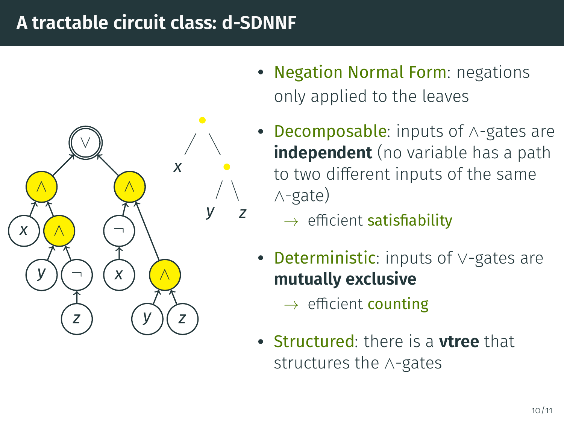

- Negation Normal Form: negations only applied to the leaves
- **Decomposable:** inputs of ∧-gates are **independent** (no variable has a path to two different inputs of the same ∧-gate)
	- $\rightarrow$  efficient **satisfiability**
- Deterministic: inputs of <sup>∨</sup>-gates are **mutually exclusive**
	- $\rightarrow$  efficient counting
- Structured: there is a **vtree** that structures the ∧-gates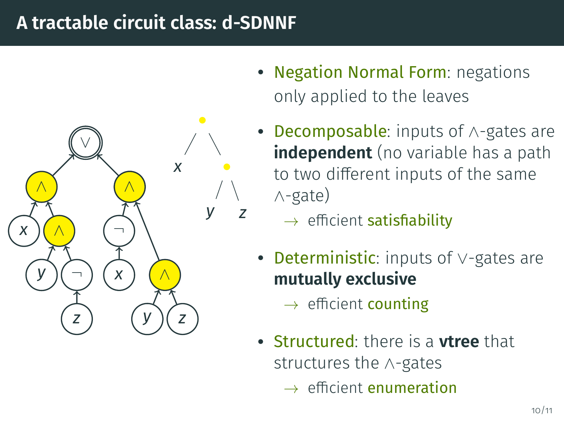

- Negation Normal Form: negations only applied to the leaves
- **Decomposable:** inputs of ∧-gates are **independent** (no variable has a path to two different inputs of the same ∧-gate)
	- $\rightarrow$  efficient **satisfiability**
- Deterministic: inputs of <sup>∨</sup>-gates are **mutually exclusive**
	- $\rightarrow$  efficient counting
- Structured: there is a **vtree** that structures the ∧-gates
	- $\rightarrow$  efficient enumeration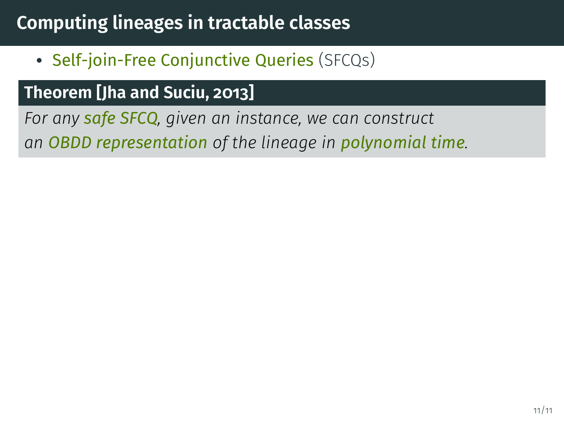• Self-join-Free Conjunctive Queries (SFCQs)

### **Theorem [\[Jha and Suciu, 2013\]](#page-57-0)**

*For any safe SFCQ, given an instance, we can construct*

*an OBDD representation of the lineage in polynomial time.*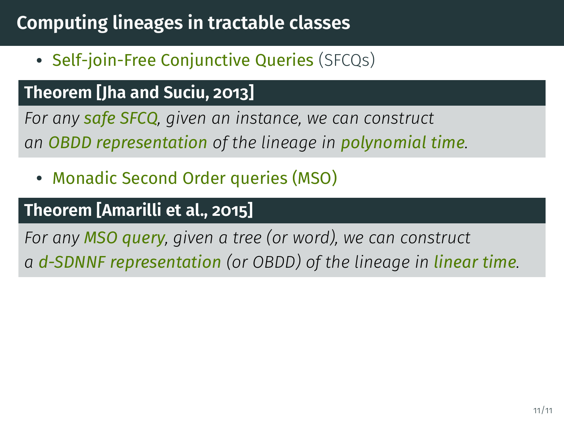• Self-join-Free Conjunctive Queries (SFCQs)

### **Theorem [\[Jha and Suciu, 2013\]](#page-57-0)**

*For any safe SFCQ, given an instance, we can construct an OBDD representation of the lineage in polynomial time.*

• Monadic Second Order queries (MSO)

### **Theorem [\[Amarilli et al., 2015\]](#page-56-2)**

*For any MSO query, given a tree (or word), we can construct a d-SDNNF representation (or OBDD) of the lineage in linear time.*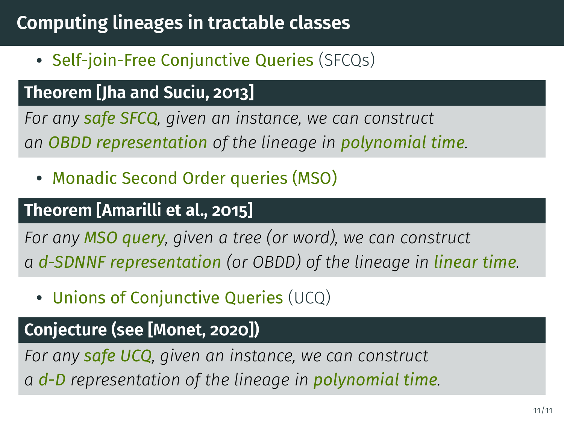• Self-join-Free Conjunctive Queries (SFCQs)

### **Theorem [\[Jha and Suciu, 2013\]](#page-57-0)**

*For any safe SFCQ, given an instance, we can construct an OBDD representation of the lineage in polynomial time.*

• Monadic Second Order queries (MSO)

### **Theorem [\[Amarilli et al., 2015\]](#page-56-2)**

*For any MSO query, given a tree (or word), we can construct a d-SDNNF representation (or OBDD) of the lineage in linear time.*

• Unions of Conjunctive Queries (UCQ)

# **Conjecture (see [\[Monet, 2020\]](#page-57-1))**

*For any safe UCQ, given an instance, we can construct a d-D representation of the lineage in polynomial time.*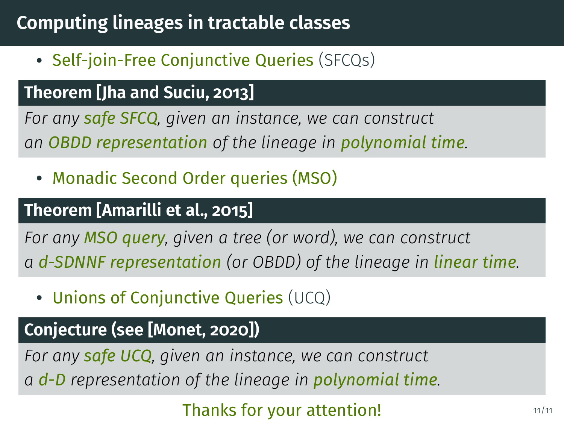• Self-join-Free Conjunctive Queries (SFCQs)

### **Theorem [\[Jha and Suciu, 2013\]](#page-57-0)**

*For any safe SFCQ, given an instance, we can construct an OBDD representation of the lineage in polynomial time.*

• Monadic Second Order queries (MSO)

### **Theorem [\[Amarilli et al., 2015\]](#page-56-2)**

*For any MSO query, given a tree (or word), we can construct a d-SDNNF representation (or OBDD) of the lineage in linear time.*

• Unions of Conjunctive Queries (UCQ)

### **Conjecture (see [\[Monet, 2020\]](#page-57-1))**

*For any safe UCQ, given an instance, we can construct a d-D representation of the lineage in polynomial time.*

### Thanks for your attention!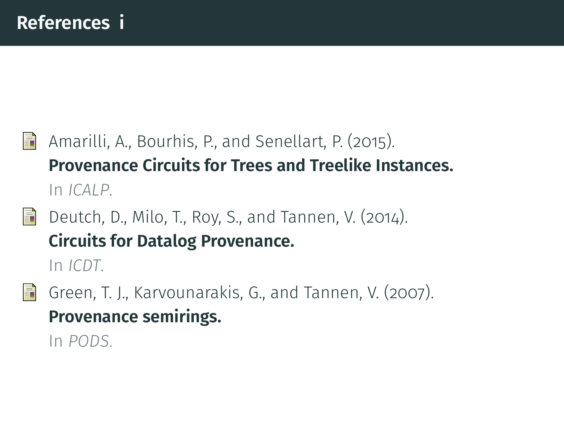<span id="page-56-2"></span>Amarilli, A., Bourhis, P., and Senellart, P. (2015). **[Provenance Circuits for Trees and Treelike Instances.](https://arxiv.org/abs/1511.08723)** In *[ICALP](http://www.kurims.kyoto-u.ac.jp/icalp2015/)*.

<span id="page-56-1"></span>Ħ Deutch, D., Milo, T., Roy, S., and Tannen, V. (2014). **[Circuits for Datalog Provenance.](http://openproceedings.org/ICDT/2014/paper_36.pdf)**

In *ICDT*.

<span id="page-56-0"></span>Green, T. J., Karvounarakis, G., and Tannen, V. (2007). **[Provenance semirings.](http://db.cis.upenn.edu/DL/07/pods07.pdf)**

In *PODS*.